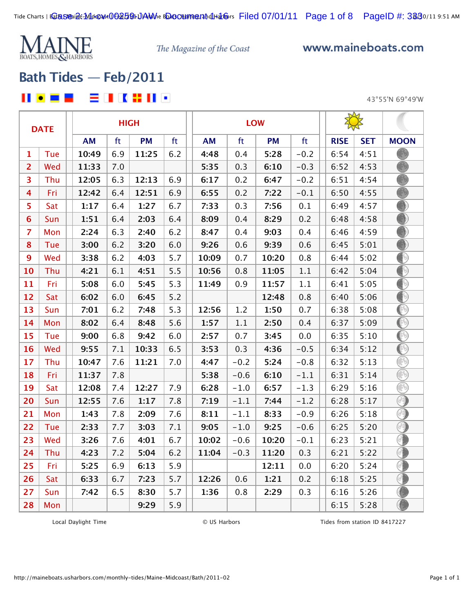

www.maineboats.com

# **[Bath Tides — Feb/2011](http://maineboats.usharbors.com/monthly-tides/Maine-Midcoast/Bath/)**

### **2 2 3** 3 4 5 6 7 8 8

43°55'N 69°49'W

|                  | <b>DATE</b> |           |     | <b>HIGH</b> |     |           | <b>LOW</b> |           |        |             |            |                                                           |
|------------------|-------------|-----------|-----|-------------|-----|-----------|------------|-----------|--------|-------------|------------|-----------------------------------------------------------|
|                  |             | <b>AM</b> | ft  | <b>PM</b>   | ft  | <b>AM</b> | ft         | <b>PM</b> | ft     | <b>RISE</b> | <b>SET</b> | <b>MOON</b>                                               |
| 1                | Tue         | 10:49     | 6.9 | 11:25       | 6.2 | 4:48      | 0.4        | 5:28      | $-0.2$ | 6:54        | 4:51       |                                                           |
| $\overline{2}$   | Wed         | 11:33     | 7.0 |             |     | 5:35      | 0.3        | 6:10      | $-0.3$ | 6:52        | 4:53       |                                                           |
| 3                | Thu         | 12:05     | 6.3 | 12:13       | 6.9 | 6:17      | 0.2        | 6:47      | $-0.2$ | 6:51        | 4:54       |                                                           |
| 4                | Fri         | 12:42     | 6.4 | 12:51       | 6.9 | 6:55      | 0.2        | 7:22      | $-0.1$ | 6:50        | 4:55       |                                                           |
| 5                | Sat         | 1:17      | 6.4 | 1:27        | 6.7 | 7:33      | 0.3        | 7:56      | 0.1    | 6:49        | 4:57       |                                                           |
| 6                | Sun         | 1:51      | 6.4 | 2:03        | 6.4 | 8:09      | 0.4        | 8:29      | 0.2    | 6:48        | 4:58       |                                                           |
| $\overline{z}$   | Mon         | 2:24      | 6.3 | 2:40        | 6.2 | 8:47      | 0.4        | 9:03      | 0.4    | 6:46        | 4:59       |                                                           |
| 8                | Tue         | 3:00      | 6.2 | 3:20        | 6.0 | 9:26      | 0.6        | 9:39      | 0.6    | 6:45        | 5:01       |                                                           |
| $\boldsymbol{9}$ | Wed         | 3:38      | 6.2 | 4:03        | 5.7 | 10:09     | 0.7        | 10:20     | 0.8    | 6:44        | 5:02       | ∩                                                         |
| 10               | Thu         | 4:21      | 6.1 | 4:51        | 5.5 | 10:56     | 0.8        | 11:05     | 1.1    | 6:42        | 5:04       | D                                                         |
| 11               | Fri         | 5:08      | 6.0 | 5:45        | 5.3 | 11:49     | 0.9        | 11:57     | 1.1    | 6:41        | 5:05       | ◐                                                         |
| 12               | Sat         | 6:02      | 6.0 | 6:45        | 5.2 |           |            | 12:48     | 0.8    | 6:40        | 5:06       | Ð                                                         |
| 13               | Sun         | 7:01      | 6.2 | 7:48        | 5.3 | 12:56     | 1.2        | 1:50      | 0.7    | 6:38        | 5:08       | ◐                                                         |
| 14               | Mon         | 8:02      | 6.4 | 8:48        | 5.6 | 1:57      | 1.1        | 2:50      | 0.4    | 6:37        | 5:09       | $_{\tiny \odot}$                                          |
| 15               | Tue         | 9:00      | 6.8 | 9:42        | 6.0 | 2:57      | 0.7        | 3:45      | 0.0    | 6:35        | 5:10       | $_{\tiny\textregistered}$                                 |
| 16               | Wed         | 9:55      | 7.1 | 10:33       | 6.5 | 3:53      | 0.3        | 4:36      | $-0.5$ | 6:34        | 5:12       | $\left(\begin{smallmatrix} 1\\ 1\end{smallmatrix}\right)$ |
| 17               | Thu         | 10:47     | 7.6 | 11:21       | 7.0 | 4:47      | $-0.2$     | 5:24      | $-0.8$ | 6:32        | 5:13       | 8                                                         |
| 18               | Fri         | 11:37     | 7.8 |             |     | 5:38      | $-0.6$     | 6:10      | $-1.1$ | 6:31        | 5:14       | 8                                                         |
| 19               | Sat         | 12:08     | 7.4 | 12:27       | 7.9 | 6:28      | $-1.0$     | 6:57      | $-1.3$ | 6:29        | 5:16       | Q                                                         |
| 20               | Sun         | 12:55     | 7.6 | 1:17        | 7.8 | 7:19      | $-1.1$     | 7:44      | $-1.2$ | 6:28        | 5:17       | 0                                                         |
| 21               | Mon         | 1:43      | 7.8 | 2:09        | 7.6 | 8:11      | $-1.1$     | 8:33      | $-0.9$ | 6:26        | 5:18       | a)                                                        |
| 22               | Tue         | 2:33      | 7.7 | 3:03        | 7.1 | 9:05      | $-1.0$     | 9:25      | $-0.6$ | 6:25        | 5:20       | 0                                                         |
| 23               | Wed         | 3:26      | 7.6 | 4:01        | 6.7 | 10:02     | $-0.6$     | 10:20     | $-0.1$ | 6:23        | 5:21       | Œ                                                         |
| 24               | Thu         | 4:23      | 7.2 | 5:04        | 6.2 | 11:04     | $-0.3$     | 11:20     | 0.3    | 6:21        | 5:22       | ⊙                                                         |
| 25               | Fri         | 5:25      | 6.9 | 6:13        | 5.9 |           |            | 12:11     | 0.0    | 6:20        | 5:24       | 6                                                         |
| 26               | Sat         | 6:33      | 6.7 | 7:23        | 5.7 | 12:26     | 0.6        | 1:21      | 0.2    | 6:18        | 5:25       |                                                           |
| 27               | Sun         | 7:42      | 6.5 | 8:30        | 5.7 | 1:36      | 0.8        | 2:29      | 0.3    | 6:16        | 5:26       |                                                           |
| 28               | Mon         |           |     | 9:29        | 5.9 |           |            |           |        | 6:15        | 5:28       |                                                           |

Local Daylight Time  $\bullet$  O US Harbors Tides from station ID 8417227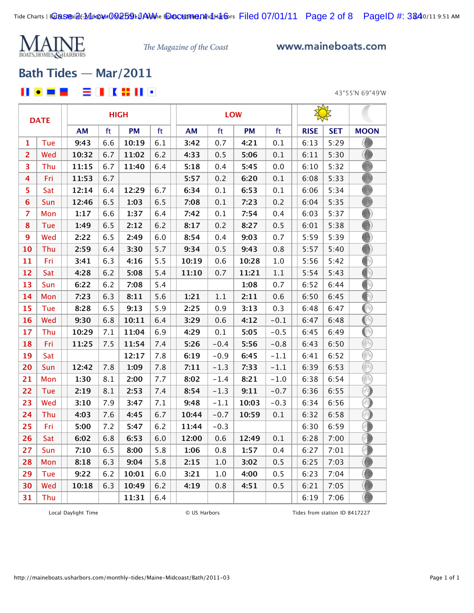

www.maineboats.com

# **[Bath Tides — Mar/2011](http://maineboats.usharbors.com/monthly-tides/Maine-Midcoast/Bath/)**

目目は昔日・ II • = =

43°55'N 69°49'W

|                | <b>DATE</b> |       |     | <b>HIGH</b> |     |           |         | <b>LOW</b> |         |             |            |                                        |
|----------------|-------------|-------|-----|-------------|-----|-----------|---------|------------|---------|-------------|------------|----------------------------------------|
|                |             | AM    | ft  | <b>PM</b>   | ft  | <b>AM</b> | ft      | PM         | ft      | <b>RISE</b> | <b>SET</b> | <b>MOON</b>                            |
| 1              | Tue         | 9:43  | 6.6 | 10:19       | 6.1 | 3:42      | 0.7     | 4:21       | 0.1     | 6:13        | 5:29       | ⊙                                      |
| $\overline{2}$ | Wed         | 10:32 | 6.7 | 11:02       | 6.2 | 4:33      | 0.5     | 5:06       | 0.1     | 6:11        | 5:30       |                                        |
| 3              | Thu         | 11:15 | 6.7 | 11:40       | 6.4 | 5:18      | 0.4     | 5:45       | 0.0     | 6:10        | 5:32       |                                        |
| 4              | Fri         | 11:53 | 6.7 |             |     | 5:57      | 0.2     | 6:20       | 0.1     | 6:08        | 5:33       |                                        |
| 5              | Sat         | 12:14 | 6.4 | 12:29       | 6.7 | 6:34      | 0.1     | 6:53       | 0.1     | 6:06        | 5:34       |                                        |
| 6              | Sun         | 12:46 | 6.5 | 1:03        | 6.5 | 7:08      | 0.1     | 7:23       | 0.2     | 6:04        | 5:35       | B                                      |
| $\overline{7}$ | Mon         | 1:17  | 6.6 | 1:37        | 6.4 | 7:42      | 0.1     | 7:54       | 0.4     | 6:03        | 5:37       |                                        |
| 8              | Tue         | 1:49  | 6.5 | 2:12        | 6.2 | 8:17      | 0.2     | 8:27       | 0.5     | 6:01        | 5:38       |                                        |
| 9              | Wed         | 2:22  | 6.5 | 2:49        | 6.0 | 8:54      | 0.4     | 9:03       | 0.7     | 5:59        | 5:39       | 0                                      |
| 10             | Thu         | 2:59  | 6.4 | 3:30        | 5.7 | 9:34      | 0.5     | 9:43       | 0.8     | 5:57        | 5:40       |                                        |
| 11             | Fri         | 3:41  | 6.3 | 4:16        | 5.5 | 10:19     | 0.6     | 10:28      | $1.0$   | 5:56        | 5:42       | ∩                                      |
| 12             | Sat         | 4:28  | 6.2 | 5:08        | 5.4 | 11:10     | 0.7     | 11:21      | $1.1\,$ | 5:54        | 5:43       | 0                                      |
| 13             | Sun         | 6:22  | 6.2 | 7:08        | 5.4 |           |         | 1:08       | 0.7     | 6:52        | 6:44       | ∩                                      |
| 14             | Mon         | 7:23  | 6.3 | 8:11        | 5.6 | 1:21      | $1.1\,$ | 2:11       | 0.6     | 6:50        | 6:45       | ∩                                      |
| 15             | Tue         | 8:28  | 6.5 | 9:13        | 5.9 | 2:25      | 0.9     | 3:13       | 0.3     | 6:48        | 6:47       | ∩                                      |
| 16             | Wed         | 9:30  | 6.8 | 10:11       | 6.4 | 3:29      | 0.6     | 4:12       | $-0.1$  | 6:47        | 6:48       | $_{\tiny\textcircled{\scriptsize{1}}}$ |
| 17             | Thu         | 10:29 | 7.1 | 11:04       | 6.9 | 4:29      | 0.1     | 5:05       | $-0.5$  | 6:45        | 6:49       | ◉                                      |
| 18             | Fri         | 11:25 | 7.5 | 11:54       | 7.4 | 5:26      | $-0.4$  | 5:56       | $-0.8$  | 6:43        | 6:50       | ⊛                                      |
| 19             | Sat         |       |     | 12:17       | 7.8 | 6:19      | $-0.9$  | 6:45       | $-1.1$  | 6:41        | 6:52       | ß                                      |
| 20             | Sun         | 12:42 | 7.8 | 1:09        | 7.8 | 7:11      | $-1.3$  | 7:33       | $-1.1$  | 6:39        | 6:53       | ß                                      |
| 21             | Mon         | 1:30  | 8.1 | 2:00        | 7.7 | 8:02      | $-1.4$  | 8:21       | $-1.0$  | 6:38        | 6:54       | R                                      |
| 22             | Tue         | 2:19  | 8.1 | 2:53        | 7.4 | 8:54      | $-1.3$  | 9:11       | $-0.7$  | 6:36        | 6:55       | ∩                                      |
| 23             | Wed         | 3:10  | 7.9 | 3:47        | 7.1 | 9:48      | $-1.1$  | 10:03      | $-0.3$  | 6:34        | 6:56       | ຈ                                      |
| 24             | Thu         | 4:03  | 7.6 | 4:45        | 6.7 | 10:44     | $-0.7$  | 10:59      | 0.1     | 6:32        | 6:58       | ∩                                      |
| 25             | Fri         | 5:00  | 7.2 | 5:47        | 6.2 | 11:44     | $-0.3$  |            |         | 6:30        | 6:59       | 6                                      |
| 26             | Sat         | 6:02  | 6.8 | 6:53        | 6.0 | 12:00     | 0.6     | 12:49      | 0.1     | 6:28        | 7:00       | 0                                      |
| 27             | Sun         | 7:10  | 6.5 | 8:00        | 5.8 | 1:06      | 0.8     | 1:57       | 0.4     | 6:27        | 7:01       | 0                                      |
| 28             | Mon         | 8:18  | 6.3 | 9:04        | 5.8 | 2:15      | $1.0\,$ | 3:02       | 0.5     | 6:25        | 7:03       | ۸                                      |
| 29             | Tue         | 9:22  | 6.2 | 10:01       | 6.0 | 3:21      | 1.0     | 4:00       | 0.5     | 6:23        | 7:04       |                                        |
| 30             | Wed         | 10:18 | 6.3 | 10:49       | 6.2 | 4:19      | 0.8     | 4:51       | 0.5     | 6:21        | 7:05       |                                        |
| 31             | Thu         |       |     | 11:31       | 6.4 |           |         |            |         | 6:19        | 7:06       | ◉                                      |

Local Daylight Time  $\qquad \qquad \qquad \qquad \qquad \qquad \qquad \qquad \qquad \qquad$  US Harbors Tides from station ID 8417227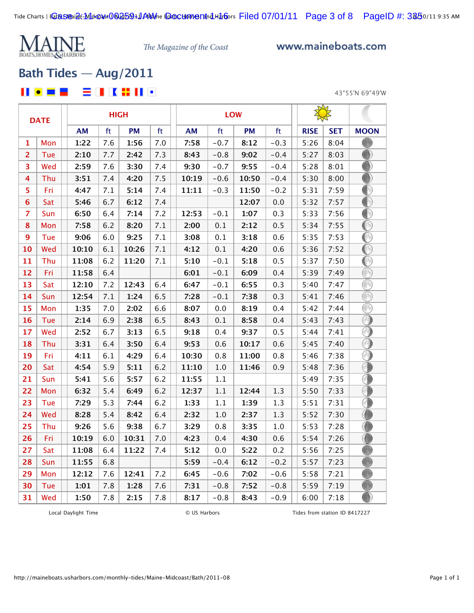

www.maineboats.com

## **[Bath Tides — Aug/2011](http://maineboats.usharbors.com/monthly-tides/Maine-Midcoast/Bath/)**

### 8 I K X II G II O - -

43°55'N 69°49'W

|                | <b>DATE</b> |           |     | <b>HIGH</b> |     |           | <b>LOW</b> |           |         |             |            |                 |
|----------------|-------------|-----------|-----|-------------|-----|-----------|------------|-----------|---------|-------------|------------|-----------------|
|                |             | <b>AM</b> | ft  | <b>PM</b>   | ft  | <b>AM</b> | ft         | <b>PM</b> | ft      | <b>RISE</b> | <b>SET</b> | <b>MOON</b>     |
| 1              | Mon         | 1:22      | 7.6 | 1:56        | 7.0 | 7:58      | $-0.7$     | 8:12      | $-0.3$  | 5:26        | 8:04       |                 |
| $\overline{2}$ | Tue         | 2:10      | 7.7 | 2:42        | 7.3 | 8:43      | $-0.8$     | 9:02      | $-0.4$  | 5:27        | 8:03       |                 |
| 3              | Wed         | 2:59      | 7.6 | 3:30        | 7.4 | 9:30      | $-0.7$     | 9:55      | $-0.4$  | 5:28        | 8:01       |                 |
| 4              | Thu         | 3:51      | 7.4 | 4:20        | 7.5 | 10:19     | $-0.6$     | 10:50     | $-0.4$  | 5:30        | 8:00       |                 |
| 5              | Fri         | 4:47      | 7.1 | 5:14        | 7.4 | 11:11     | $-0.3$     | 11:50     | $-0.2$  | 5:31        | 7:59       | ∩               |
| $6\phantom{1}$ | Sat         | 5:46      | 6.7 | 6:12        | 7.4 |           |            | 12:07     | 0.0     | 5:32        | 7:57       | ∩               |
| $\overline{7}$ | Sun         | 6:50      | 6.4 | 7:14        | 7.2 | 12:53     | $-0.1$     | 1:07      | 0.3     | 5:33        | 7:56       | ⊕               |
| 8              | Mon         | 7:58      | 6.2 | 8:20        | 7.1 | 2:00      | 0.1        | 2:12      | 0.5     | 5:34        | 7:55       | $_{\mathbb{O}}$ |
| 9              | Tue         | 9:06      | 6.0 | 9:25        | 7.1 | 3:08      | 0.1        | 3:18      | 0.6     | 5:35        | 7:53       | ◉               |
| 10             | Wed         | 10:10     | 6.1 | 10:26       | 7.1 | 4:12      | 0.1        | 4:20      | 0.6     | 5:36        | 7:52       | ◉               |
| 11             | Thu         | 11:08     | 6.2 | 11:20       | 7.1 | 5:10      | $-0.1$     | 5:18      | 0.5     | 5:37        | 7:50       | ◉               |
| 12             | Fri         | 11:58     | 6.4 |             |     | 6:01      | $-0.1$     | 6:09      | 0.4     | 5:39        | 7:49       | ∩               |
| 13             | Sat         | 12:10     | 7.2 | 12:43       | 6.4 | 6:47      | $-0.1$     | 6:55      | 0.3     | 5:40        | 7:47       | ⊛               |
| 14             | Sun         | 12:54     | 7.1 | 1:24        | 6.5 | 7:28      | $-0.1$     | 7:38      | 0.3     | 5:41        | 7:46       | ⊛               |
| 15             | Mon         | 1:35      | 7.0 | 2:02        | 6.6 | 8:07      | $0.0\,$    | 8:19      | 0.4     | 5:42        | 7:44       | ß               |
| 16             | Tue         | 2:14      | 6.9 | 2:38        | 6.5 | 8:43      | 0.1        | 8:58      | 0.4     | 5:43        | 7:43       | 0               |
| 17             | Wed         | 2:52      | 6.7 | 3:13        | 6.5 | 9:18      | 0.4        | 9:37      | 0.5     | 5:44        | 7:41       | ⊙               |
| 18             | Thu         | 3:31      | 6.4 | 3:50        | 6.4 | 9:53      | 0.6        | 10:17     | 0.6     | 5:45        | 7:40       | ⊙               |
| 19             | Fri         | 4:11      | 6.1 | 4:29        | 6.4 | 10:30     | 0.8        | 11:00     | 0.8     | 5:46        | 7:38       | 0               |
| 20             | Sat         | 4:54      | 5.9 | 5:11        | 6.2 | 11:10     | $1.0\,$    | 11:46     | 0.9     | 5:48        | 7:36       | O               |
| 21             | Sun         | 5:41      | 5.6 | 5:57        | 6.2 | 11:55     | 1.1        |           |         | 5:49        | 7:35       | 0               |
| 22             | Mon         | 6:32      | 5.4 | 6:49        | 6.2 | 12:37     | $1.1\,$    | 12:44     | 1.3     | 5:50        | 7:33       | 0               |
| 23             | Tue         | 7:29      | 5.3 | 7:44        | 6.2 | 1:33      | $1.1\,$    | 1:39      | 1.3     | 5:51        | 7:31       | 4               |
| 24             | Wed         | 8:28      | 5.4 | 8:42        | 6.4 | 2:32      | 1.0        | 2:37      | 1.3     | 5:52        | 7:30       |                 |
| 25             | Thu         | 9:26      | 5.6 | 9:38        | 6.7 | 3:29      | 0.8        | 3:35      | $1.0\,$ | 5:53        | 7:28       | O               |
| 26             | Fri         | 10:19     | 6.0 | 10:31       | 7.0 | 4:23      | 0.4        | 4:30      | 0.6     | 5:54        | 7:26       | O               |
| 27             | Sat         | 11:08     | 6.4 | 11:22       | 7.4 | 5:12      | 0.0        | 5:22      | 0.2     | 5:56        | 7:25       |                 |
| 28             | Sun         | 11:55     | 6.8 |             |     | 5:59      | $-0.4$     | 6:12      | $-0.2$  | 5:57        | 7:23       |                 |
| 29             | Mon         | 12:12     | 7.6 | 12:41       | 7.2 | 6:45      | $-0.6$     | 7:02      | $-0.6$  | 5:58        | 7:21       |                 |
| 30             | Tue         | 1:01      | 7.8 | 1:28        | 7.6 | 7:31      | $-0.8$     | 7:52      | $-0.8$  | 5:59        | 7:19       | B               |
| 31             | Wed         | 1:50      | 7.8 | 2:15        | 7.8 | 8:17      | $-0.8$     | 8:43      | $-0.9$  | 6:00        | 7:18       | ∩               |

Local Daylight Time  $\qquad \qquad \qquad \qquad \qquad \qquad \qquad \qquad \qquad \qquad$  US Harbors Tides from station ID 8417227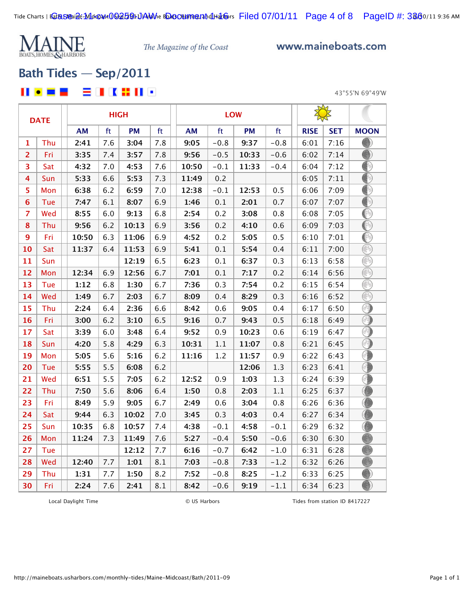

www.maineboats.com

## **[Bath Tides — Sep/2011](http://maineboats.usharbors.com/monthly-tides/Maine-Midcoast/Bath/)**

### 自由化器自由 ш  $\bullet$ - -

43°55'N 69°49'W

|                | <b>DATE</b> |           | <b>HIGH</b> |           |     |  |           |         | <b>LOW</b> |         |             |            |               |
|----------------|-------------|-----------|-------------|-----------|-----|--|-----------|---------|------------|---------|-------------|------------|---------------|
|                |             | <b>AM</b> | ft          | <b>PM</b> | ft  |  | <b>AM</b> | ft      | <b>PM</b>  | ft      | <b>RISE</b> | <b>SET</b> | <b>MOON</b>   |
| 1              | Thu         | 2:41      | 7.6         | 3:04      | 7.8 |  | 9:05      | $-0.8$  | 9:37       | $-0.8$  | 6:01        | 7:16       |               |
| $\overline{2}$ | Fri         | 3:35      | 7.4         | 3:57      | 7.8 |  | 9:56      | $-0.5$  | 10:33      | $-0.6$  | 6:02        | 7:14       | 8             |
| 3              | Sat         | 4:32      | 7.0         | 4:53      | 7.6 |  | 10:50     | $-0.1$  | 11:33      | $-0.4$  | 6:04        | 7:12       | ⊕             |
| 4              | Sun         | 5:33      | 6.6         | 5:53      | 7.3 |  | 11:49     | 0.2     |            |         | 6:05        | 7:11       | ◐             |
| 5              | Mon         | 6:38      | 6.2         | 6:59      | 7.0 |  | 12:38     | $-0.1$  | 12:53      | 0.5     | 6:06        | 7:09       | $^\circledR$  |
| $6\phantom{1}$ | Tue         | 7:47      | 6.1         | 8:07      | 6.9 |  | 1:46      | 0.1     | 2:01       | 0.7     | 6:07        | 7:07       | ⊕             |
| $\overline{7}$ | Wed         | 8:55      | 6.0         | 9:13      | 6.8 |  | 2:54      | 0.2     | 3:08       | 0.8     | 6:08        | 7:05       | ◉             |
| ${\bf 8}$      | Thu         | 9:56      | 6.2         | 10:13     | 6.9 |  | 3:56      | 0.2     | 4:10       | 0.6     | 6:09        | 7:03       | $^\copyright$ |
| 9              | Fri         | 10:50     | 6.3         | 11:06     | 6.9 |  | 4:52      | 0.2     | 5:05       | 0.5     | 6:10        | 7:01       | O             |
| 10             | Sat         | 11:37     | 6.4         | 11:53     | 6.9 |  | 5:41      | 0.1     | 5:54       | 0.4     | 6:11        | 7:00       | ◉             |
| 11             | Sun         |           |             | 12:19     | 6.5 |  | 6:23      | 0.1     | 6:37       | 0.3     | 6:13        | 6:58       | ß             |
| 12             | Mon         | 12:34     | 6.9         | 12:56     | 6.7 |  | 7:01      | 0.1     | 7:17       | 0.2     | 6:14        | 6:56       | ∩             |
| 13             | Tue         | 1:12      | 6.8         | 1:30      | 6.7 |  | 7:36      | 0.3     | 7:54       | 0.2     | 6:15        | 6:54       | ⊛             |
| 14             | Wed         | 1:49      | 6.7         | 2:03      | 6.7 |  | 8:09      | 0.4     | 8:29       | 0.3     | 6:16        | 6:52       | ⊛             |
| 15             | Thu         | 2:24      | 6.4         | 2:36      | 6.6 |  | 8:42      | 0.6     | 9:05       | 0.4     | 6:17        | 6:50       | ⋒             |
| 16             | Fri         | 3:00      | 6.2         | 3:10      | 6.5 |  | 9:16      | 0.7     | 9:43       | 0.5     | 6:18        | 6:49       | ⊙             |
| 17             | Sat         | 3:39      | 6.0         | 3:48      | 6.4 |  | 9:52      | 0.9     | 10:23      | 0.6     | 6:19        | 6:47       | Ō             |
| 18             | Sun         | 4:20      | 5.8         | 4:29      | 6.3 |  | 10:31     | $1.1\,$ | 11:07      | 0.8     | 6:21        | 6:45       | ◈             |
| 19             | Mon         | 5:05      | 5.6         | 5:16      | 6.2 |  | 11:16     | 1.2     | 11:57      | 0.9     | 6:22        | 6:43       | 0             |
| 20             | Tue         | 5:55      | 5.5         | 6:08      | 6.2 |  |           |         | 12:06      | 1.3     | 6:23        | 6:41       | ⊙             |
| 21             | Wed         | 6:51      | 5.5         | 7:05      | 6.2 |  | 12:52     | 0.9     | 1:03       | 1.3     | 6:24        | 6:39       | 0             |
| 22             | Thu         | 7:50      | 5.6         | 8:06      | 6.4 |  | 1:50      | 0.8     | 2:03       | $1.1\,$ | 6:25        | 6:37       |               |
| 23             | Fri         | 8:49      | 5.9         | 9:05      | 6.7 |  | 2:49      | 0.6     | 3:04       | 0.8     | 6:26        | 6:36       | O             |
| 24             | Sat         | 9:44      | 6.3         | 10:02     | 7.0 |  | 3:45      | 0.3     | 4:03       | 0.4     | 6:27        | 6:34       | O             |
| 25             | Sun         | 10:35     | 6.8         | 10:57     | 7.4 |  | 4:38      | $-0.1$  | 4:58       | $-0.1$  | 6:29        | 6:32       |               |
| 26             | Mon         | 11:24     | 7.3         | 11:49     | 7.6 |  | 5:27      | $-0.4$  | 5:50       | $-0.6$  | 6:30        | 6:30       |               |
| 27             | Tue         |           |             | 12:12     | 7.7 |  | 6:16      | $-0.7$  | 6:42       | $-1.0$  | 6:31        | 6:28       | ß             |
| 28             | Wed         | 12:40     | 7.7         | 1:01      | 8.1 |  | 7:03      | $-0.8$  | 7:33       | $-1.2$  | 6:32        | 6:26       | ß             |
| 29             | Thu         | 1:31      | 7.7         | 1:50      | 8.2 |  | 7:52      | $-0.8$  | 8:25       | $-1.2$  | 6:33        | 6:25       |               |
| 30             | Fri         | 2:24      | 7.6         | 2:41      | 8.1 |  | 8:42      | $-0.6$  | 9:19       | $-1.1$  | 6:34        | 6:23       | ∩             |

Local Daylight Time  $\qquad \qquad \circ$  US Harbors Tides from station ID 8417227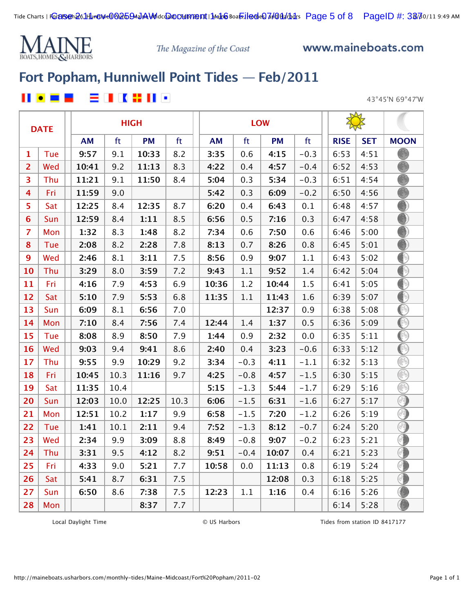

www.maineboats.com

# **[Fort Popham, Hunniwell Point Tides — Feb/2011](http://maineboats.usharbors.com/monthly-tides/Maine-Midcoast/Fort%20Popham/)**

### 自由的最佳的  $\blacksquare$  .  $\blacksquare$

43°45'N 69°47'W

|                | <b>DATE</b> |           |      | <b>HIGH</b> |      |           |        | <b>LOW</b> |        |             |            |             |
|----------------|-------------|-----------|------|-------------|------|-----------|--------|------------|--------|-------------|------------|-------------|
|                |             | <b>AM</b> | ft   | <b>PM</b>   | ft   | <b>AM</b> | ft     | <b>PM</b>  | ft     | <b>RISE</b> | <b>SET</b> | <b>MOON</b> |
| 1              | Tue         | 9:57      | 9.1  | 10:33       | 8.2  | 3:35      | 0.6    | 4:15       | $-0.3$ | 6:53        | 4:51       |             |
| $\overline{2}$ | Wed         | 10:41     | 9.2  | 11:13       | 8.3  | 4:22      | 0.4    | 4:57       | $-0.4$ | 6:52        | 4:53       |             |
| 3              | Thu         | 11:21     | 9.1  | 11:50       | 8.4  | 5:04      | 0.3    | 5:34       | $-0.3$ | 6:51        | 4:54       |             |
| $\overline{4}$ | Fri         | 11:59     | 9.0  |             |      | 5:42      | 0.3    | 6:09       | $-0.2$ | 6:50        | 4:56       |             |
| 5              | Sat         | 12:25     | 8.4  | 12:35       | 8.7  | 6:20      | 0.4    | 6:43       | 0.1    | 6:48        | 4:57       |             |
| 6              | Sun         | 12:59     | 8.4  | 1:11        | 8.5  | 6:56      | 0.5    | 7:16       | 0.3    | 6:47        | 4:58       |             |
| $\overline{z}$ | Mon         | 1:32      | 8.3  | 1:48        | 8.2  | 7:34      | 0.6    | 7:50       | 0.6    | 6:46        | 5:00       |             |
| 8              | Tue         | 2:08      | 8.2  | 2:28        | 7.8  | 8:13      | 0.7    | 8:26       | 0.8    | 6:45        | 5:01       |             |
| $\overline{9}$ | Wed         | 2:46      | 8.1  | 3:11        | 7.5  | 8:56      | 0.9    | 9:07       | 1.1    | 6:43        | 5:02       | ∩           |
| 10             | Thu         | 3:29      | 8.0  | 3:59        | 7.2  | 9:43      | 1.1    | 9:52       | 1.4    | 6:42        | 5:04       | ◐           |
| 11             | Fri         | 4:16      | 7.9  | 4:53        | 6.9  | 10:36     | 1.2    | 10:44      | 1.5    | 6:41        | 5:05       | ⊕           |
| 12             | Sat         | 5:10      | 7.9  | 5:53        | 6.8  | 11:35     | 1.1    | 11:43      | 1.6    | 6:39        | 5:07       | ∩           |
| 13             | Sun         | 6:09      | 8.1  | 6:56        | 7.0  |           |        | 12:37      | 0.9    | 6:38        | 5:08       | ◐           |
| 14             | Mon         | 7:10      | 8.4  | 7:56        | 7.4  | 12:44     | 1.4    | 1:37       | 0.5    | 6:36        | 5:09       | ◐           |
| 15             | Tue         | 8:08      | 8.9  | 8:50        | 7.9  | 1:44      | 0.9    | 2:32       | 0.0    | 6:35        | 5:11       | ◐           |
| 16             | Wed         | 9:03      | 9.4  | 9:41        | 8.6  | 2:40      | 0.4    | 3:23       | $-0.6$ | 6:33        | 5:12       | ◐           |
| 17             | Thu         | 9:55      | 9.9  | 10:29       | 9.2  | 3:34      | $-0.3$ | 4:11       | $-1.1$ | 6:32        | 5:13       | 8           |
| 18             | Fri         | 10:45     | 10.3 | 11:16       | 9.7  | 4:25      | $-0.8$ | 4:57       | $-1.5$ | 6:30        | 5:15       | ⊛           |
| 19             | Sat         | 11:35     | 10.4 |             |      | 5:15      | $-1.3$ | 5:44       | $-1.7$ | 6:29        | 5:16       | ⊛           |
| 20             | Sun         | 12:03     | 10.0 | 12:25       | 10.3 | 6:06      | $-1.5$ | 6:31       | $-1.6$ | 6:27        | 5:17       | ⊙           |
| 21             | Mon         | 12:51     | 10.2 | 1:17        | 9.9  | 6:58      | $-1.5$ | 7:20       | $-1.2$ | 6:26        | 5:19       | 闲           |
| 22             | Tue         | 1:41      | 10.1 | 2:11        | 9.4  | 7:52      | $-1.3$ | 8:12       | $-0.7$ | 6:24        | 5:20       | ຈ           |
| 23             | Wed         | 2:34      | 9.9  | 3:09        | 8.8  | 8:49      | $-0.8$ | 9:07       | $-0.2$ | 6:23        | 5:21       | Œ           |
| 24             | Thu         | 3:31      | 9.5  | 4:12        | 8.2  | 9:51      | $-0.4$ | 10:07      | 0.4    | 6:21        | 5:23       | ◑           |
| 25             | Fri         | 4:33      | 9.0  | 5:21        | 7.7  | 10:58     | 0.0    | 11:13      | 0.8    | 6:19        | 5:24       | G           |
| 26             | Sat         | 5:41      | 8.7  | 6:31        | 7.5  |           |        | 12:08      | 0.3    | 6:18        | 5:25       | ♦           |
| 27             | Sun         | 6:50      | 8.6  | 7:38        | 7.5  | 12:23     | 1.1    | 1:16       | 0.4    | 6:16        | 5:26       |             |
| 28             | Mon         |           |      | 8:37        | 7.7  |           |        |            |        | 6:14        | 5:28       |             |

Local Daylight Time **Example 20 COVIDS** COVID Harbors **COVIDS** COVID-10 Tides from station ID 8417177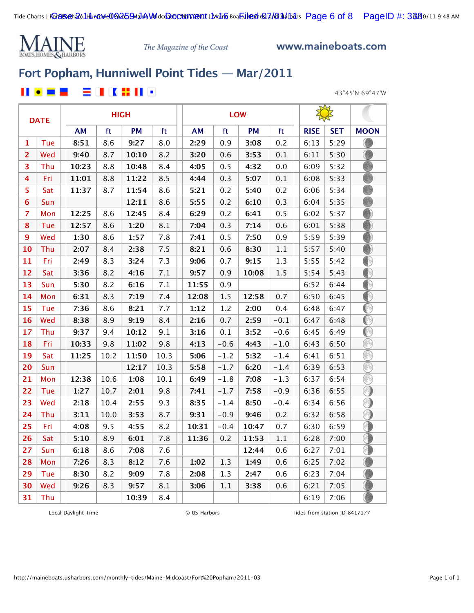

www.maineboats.com

## **[Fort Popham, Hunniwell Point Tides — Mar/2011](http://maineboats.usharbors.com/monthly-tides/Maine-Midcoast/Fort%20Popham/)**

### 2 I K # II • Ш  $\bullet$ - -

43°45'N 69°47'W

|                | <b>DATE</b> |       |      | <b>HIGH</b> |      |       |        | <b>LOW</b> |         |             |            |             |
|----------------|-------------|-------|------|-------------|------|-------|--------|------------|---------|-------------|------------|-------------|
|                |             | AM    | ft   | <b>PM</b>   | ft   | AM    | ft     | <b>PM</b>  | ft      | <b>RISE</b> | <b>SET</b> | <b>MOON</b> |
| 1              | Tue         | 8:51  | 8.6  | 9:27        | 8.0  | 2:29  | 0.9    | 3:08       | 0.2     | 6:13        | 5:29       | O           |
| $\overline{2}$ | Wed         | 9:40  | 8.7  | 10:10       | 8.2  | 3:20  | 0.6    | 3:53       | 0.1     | 6:11        | 5:30       |             |
| 3              | Thu         | 10:23 | 8.8  | 10:48       | 8.4  | 4:05  | 0.5    | 4:32       | 0.0     | 6:09        | 5:32       | B           |
| 4              | Fri         | 11:01 | 8.8  | 11:22       | 8.5  | 4:44  | 0.3    | 5:07       | 0.1     | 6:08        | 5:33       | B           |
| 5              | Sat         | 11:37 | 8.7  | 11:54       | 8.6  | 5:21  | 0.2    | 5:40       | 0.2     | 6:06        | 5:34       |             |
| 6              | Sun         |       |      | 12:11       | 8.6  | 5:55  | 0.2    | 6:10       | 0.3     | 6:04        | 5:35       |             |
| $\overline{7}$ | Mon         | 12:25 | 8.6  | 12:45       | 8.4  | 6:29  | 0.2    | 6:41       | 0.5     | 6:02        | 5:37       |             |
| 8              | Tue         | 12:57 | 8.6  | 1:20        | 8.1  | 7:04  | 0.3    | 7:14       | 0.6     | 6:01        | 5:38       |             |
| $\mathbf{9}$   | Wed         | 1:30  | 8.6  | 1:57        | 7.8  | 7:41  | 0.5    | 7:50       | 0.9     | 5:59        | 5:39       |             |
| 10             | Thu         | 2:07  | 8.4  | 2:38        | 7.5  | 8:21  | 0.6    | 8:30       | $1.1\,$ | 5:57        | 5:40       |             |
| 11             | Fri         | 2:49  | 8.3  | 3:24        | 7.3  | 9:06  | 0.7    | 9:15       | 1.3     | 5:55        | 5:42       | ⊕           |
| 12             | Sat         | 3:36  | 8.2  | 4:16        | 7.1  | 9:57  | 0.9    | 10:08      | 1.5     | 5:54        | 5:43       | ⊕           |
| 13             | Sun         | 5:30  | 8.2  | 6:16        | 7.1  | 11:55 | 0.9    |            |         | 6:52        | 6:44       | ⊕           |
| 14             | Mon         | 6:31  | 8.3  | 7:19        | 7.4  | 12:08 | 1.5    | 12:58      | 0.7     | 6:50        | 6:45       | ∩           |
| 15             | Tue         | 7:36  | 8.6  | 8:21        | 7.7  | 1:12  | 1.2    | 2:00       | 0.4     | 6:48        | 6:47       | ∩           |
| 16             | Wed         | 8:38  | 8.9  | 9:19        | 8.4  | 2:16  | 0.7    | 2:59       | $-0.1$  | 6:47        | 6:48       | ◉           |
| 17             | Thu         | 9:37  | 9.4  | 10:12       | 9.1  | 3:16  | 0.1    | 3:52       | $-0.6$  | 6:45        | 6:49       | ◉           |
| 18             | Fri         | 10:33 | 9.8  | 11:02       | 9.8  | 4:13  | $-0.6$ | 4:43       | $-1.0$  | 6:43        | 6:50       | ⊛           |
| 19             | Sat         | 11:25 | 10.2 | 11:50       | 10.3 | 5:06  | $-1.2$ | 5:32       | $-1.4$  | 6:41        | 6:51       | 3           |
| 20             | Sun         |       |      | 12:17       | 10.3 | 5:58  | $-1.7$ | 6:20       | $-1.4$  | 6:39        | 6:53       | R           |
| 21             | Mon         | 12:38 | 10.6 | 1:08        | 10.1 | 6:49  | $-1.8$ | 7:08       | $-1.3$  | 6:37        | 6:54       | ß           |
| 22             | Tue         | 1:27  | 10.7 | 2:01        | 9.8  | 7:41  | $-1.7$ | 7:58       | $-0.9$  | 6:36        | 6:55       | O)          |
| 23             | Wed         | 2:18  | 10.4 | 2:55        | 9.3  | 8:35  | $-1.4$ | 8:50       | $-0.4$  | 6:34        | 6:56       | ∩           |
| 24             | Thu         | 3:11  | 10.0 | 3:53        | 8.7  | 9:31  | $-0.9$ | 9:46       | 0.2     | 6:32        | 6:58       | ∩           |
| 25             | Fri         | 4:08  | 9.5  | 4:55        | 8.2  | 10:31 | $-0.4$ | 10:47      | 0.7     | 6:30        | 6:59       | 0           |
| 26             | Sat         | 5:10  | 8.9  | 6:01        | 7.8  | 11:36 | 0.2    | 11:53      | $1.1\,$ | 6:28        | 7:00       | O           |
| 27             | Sun         | 6:18  | 8.6  | 7:08        | 7.6  |       |        | 12:44      | 0.6     | 6:27        | 7:01       | G           |
| 28             | Mon         | 7:26  | 8.3  | 8:12        | 7.6  | 1:02  | 1.3    | 1:49       | 0.6     | 6:25        | 7:02       |             |
| 29             | Tue         | 8:30  | 8.2  | 9:09        | 7.8  | 2:08  | 1.3    | 2:47       | 0.6     | 6:23        | 7:04       |             |
| 30             | Wed         | 9:26  | 8.3  | 9:57        | 8.1  | 3:06  | 1.1    | 3:38       | 0.6     | 6:21        | 7:05       | O           |
| 31             | Thu         |       |      | 10:39       | 8.4  |       |        |            |         | 6:19        | 7:06       | O           |

Local Daylight Time  $\qquad \qquad \qquad \qquad \qquad \qquad \qquad \qquad$  US Harbors Tides from station ID 8417177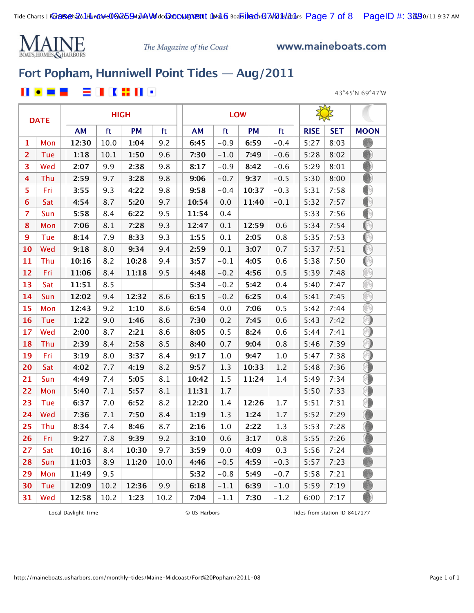

www.maineboats.com

## **[Fort Popham, Hunniwell Point Tides — Aug/2011](http://maineboats.usharbors.com/monthly-tides/Maine-Midcoast/Fort%20Popham/)**

### 2 I K X II 9  $\bullet$   $\blacksquare$   $\blacksquare$ Ш

43°45'N 69°47'W

|                | <b>DATE</b> |           |      | <b>HIGH</b> |      |           |        | <b>LOW</b> |        |             |            |             |
|----------------|-------------|-----------|------|-------------|------|-----------|--------|------------|--------|-------------|------------|-------------|
|                |             | <b>AM</b> | ft   | <b>PM</b>   | ft   | <b>AM</b> | ft     | <b>PM</b>  | ft     | <b>RISE</b> | <b>SET</b> | <b>MOON</b> |
| 1              | Mon         | 12:30     | 10.0 | 1:04        | 9.2  | 6:45      | $-0.9$ | 6:59       | $-0.4$ | 5:27        | 8:03       |             |
| $\overline{2}$ | Tue         | 1:18      | 10.1 | 1:50        | 9.6  | 7:30      | $-1.0$ | 7:49       | $-0.6$ | 5:28        | 8:02       |             |
| 3              | Wed         | 2:07      | 9.9  | 2:38        | 9.8  | 8:17      | $-0.9$ | 8:42       | $-0.6$ | 5:29        | 8:01       |             |
| 4              | Thu         | 2:59      | 9.7  | 3:28        | 9.8  | 9:06      | $-0.7$ | 9:37       | $-0.5$ | 5:30        | 8:00       |             |
| 5              | Fri         | 3:55      | 9.3  | 4:22        | 9.8  | 9:58      | $-0.4$ | 10:37      | $-0.3$ | 5:31        | 7:58       | ∩           |
| 6              | Sat         | 4:54      | 8.7  | 5:20        | 9.7  | 10:54     | 0.0    | 11:40      | $-0.1$ | 5:32        | 7:57       | ∩           |
| 7              | Sun         | 5:58      | 8.4  | 6:22        | 9.5  | 11:54     | 0.4    |            |        | 5:33        | 7:56       | ◐           |
| 8              | Mon         | 7:06      | 8.1  | 7:28        | 9.3  | 12:47     | 0.1    | 12:59      | 0.6    | 5:34        | 7:54       | ◉           |
| 9              | Tue         | 8:14      | 7.9  | 8:33        | 9.3  | 1:55      | 0.1    | 2:05       | 0.8    | 5:35        | 7:53       | ◉           |
| 10             | Wed         | 9:18      | 8.0  | 9:34        | 9.4  | 2:59      | 0.1    | 3:07       | 0.7    | 5:37        | 7:51       | ◉           |
| 11             | Thu         | 10:16     | 8.2  | 10:28       | 9.4  | 3:57      | $-0.1$ | 4:05       | 0.6    | 5:38        | 7:50       | ◐           |
| 12             | Fri         | 11:06     | 8.4  | 11:18       | 9.5  | 4:48      | $-0.2$ | 4:56       | 0.5    | 5:39        | 7:48       | ⊛           |
| 13             | Sat         | 11:51     | 8.5  |             |      | 5:34      | $-0.2$ | 5:42       | 0.4    | 5:40        | 7:47       | ⊛           |
| 14             | Sun         | 12:02     | 9.4  | 12:32       | 8.6  | 6:15      | $-0.2$ | 6:25       | 0.4    | 5:41        | 7:45       | B           |
| 15             | Mon         | 12:43     | 9.2  | 1:10        | 8.6  | 6:54      | 0.0    | 7:06       | 0.5    | 5:42        | 7:44       | B           |
| 16             | Tue         | 1:22      | 9.0  | 1:46        | 8.6  | 7:30      | 0.2    | 7:45       | 0.6    | 5:43        | 7:42       | ∩           |
| 17             | Wed         | 2:00      | 8.7  | 2:21        | 8.6  | 8:05      | 0.5    | 8:24       | 0.6    | 5:44        | 7:41       | ⊕           |
| 18             | Thu         | 2:39      | 8.4  | 2:58        | 8.5  | 8:40      | 0.7    | 9:04       | 0.8    | 5:46        | 7:39       | ∩           |
| 19             | Fri         | 3:19      | 8.0  | 3:37        | 8.4  | 9:17      | 1.0    | 9:47       | 1.0    | 5:47        | 7:38       | ⊙           |
| 20             | Sat         | 4:02      | 7.7  | 4:19        | 8.2  | 9:57      | 1.3    | 10:33      | $1.2$  | 5:48        | 7:36       | 6           |
| 21             | Sun         | 4:49      | 7.4  | 5:05        | 8.1  | 10:42     | 1.5    | 11:24      | 1.4    | 5:49        | 7:34       | ⊕           |
| 22             | Mon         | 5:40      | 7.1  | 5:57        | 8.1  | 11:31     | 1.7    |            |        | 5:50        | 7:33       | 0           |
| 23             | Tue         | 6:37      | 7.0  | 6:52        | 8.2  | 12:20     | 1.4    | 12:26      | 1.7    | 5:51        | 7:31       | Œ           |
| 24             | Wed         | 7:36      | 7.1  | 7:50        | 8.4  | 1:19      | 1.3    | 1:24       | 1.7    | 5:52        | 7:29       |             |
| 25             | Thu         | 8:34      | 7.4  | 8:46        | 8.7  | 2:16      | 1.0    | 2:22       | 1.3    | 5:53        | 7:28       | O           |
| 26             | Fri         | 9:27      | 7.8  | 9:39        | 9.2  | 3:10      | 0.6    | 3:17       | 0.8    | 5:55        | 7:26       | O           |
| 27             | Sat         | 10:16     | 8.4  | 10:30       | 9.7  | 3:59      | 0.0    | 4:09       | 0.3    | 5:56        | 7:24       |             |
| 28             | Sun         | 11:03     | 8.9  | 11:20       | 10.0 | 4:46      | $-0.5$ | 4:59       | $-0.3$ | 5:57        | 7:23       |             |
| 29             | Mon         | 11:49     | 9.5  |             |      | 5:32      | $-0.8$ | 5:49       | $-0.7$ | 5:58        | 7:21       |             |
| 30             | Tue         | 12:09     | 10.2 | 12:36       | 9.9  | 6:18      | $-1.1$ | 6:39       | $-1.0$ | 5:59        | 7:19       |             |
| 31             | Wed         | 12:58     | 10.2 | 1:23        | 10.2 | 7:04      | $-1.1$ | 7:30       | $-1.2$ | 6:00        | 7:17       |             |

Local Daylight Time  $\qquad \qquad \qquad \qquad \qquad \qquad \qquad \qquad$  US Harbors Tides from station ID 8417177